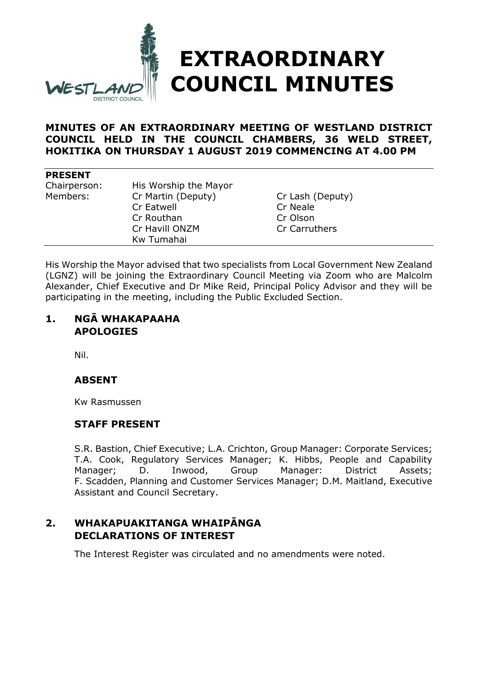

# **MINUTES OF AN EXTRAORDINARY MEETING OF WESTLAND DISTRICT COUNCIL HELD IN THE COUNCIL CHAMBERS, 36 WELD STREET, HOKITIKA ON THURSDAY 1 AUGUST 2019 COMMENCING AT 4.00 PM**

#### **PRESENT**

| Chairperson:<br>Members: | His Worship the Mayor<br>Cr Martin (Deputy)<br><b>Cr Eatwell</b><br>Cr Routhan<br>Cr Havill ONZM | Cr Lash (Deputy)<br>Cr Neale<br>Cr Olson<br>Cr Carruthers |
|--------------------------|--------------------------------------------------------------------------------------------------|-----------------------------------------------------------|
|                          | Kw Tumahai                                                                                       |                                                           |

His Worship the Mayor advised that two specialists from Local Government New Zealand (LGNZ) will be joining the Extraordinary Council Meeting via Zoom who are Malcolm Alexander, Chief Executive and Dr Mike Reid, Principal Policy Advisor and they will be participating in the meeting, including the Public Excluded Section.

# **1. NGĀ WHAKAPAAHA APOLOGIES**

Nil.

# **ABSENT**

Kw Rasmussen

### **STAFF PRESENT**

S.R. Bastion, Chief Executive; L.A. Crichton, Group Manager: Corporate Services; T.A. Cook, Regulatory Services Manager; K. Hibbs, People and Capability Manager; D. Inwood, Group Manager: District Assets; F. Scadden, Planning and Customer Services Manager; D.M. Maitland, Executive Assistant and Council Secretary.

# **2. WHAKAPUAKITANGA WHAIPĀNGA DECLARATIONS OF INTEREST**

The Interest Register was circulated and no amendments were noted.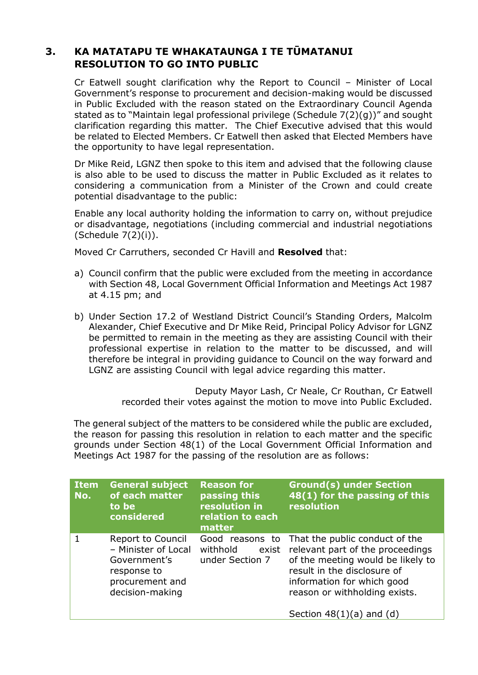# **3. KA MATATAPU TE WHAKATAUNGA I TE TŪMATANUI RESOLUTION TO GO INTO PUBLIC**

Cr Eatwell sought clarification why the Report to Council – Minister of Local Government's response to procurement and decision-making would be discussed in Public Excluded with the reason stated on the Extraordinary Council Agenda stated as to "Maintain legal professional privilege (Schedule 7(2)(g))" and sought clarification regarding this matter. The Chief Executive advised that this would be related to Elected Members. Cr Eatwell then asked that Elected Members have the opportunity to have legal representation.

Dr Mike Reid, LGNZ then spoke to this item and advised that the following clause is also able to be used to discuss the matter in Public Excluded as it relates to considering a communication from a Minister of the Crown and could create potential disadvantage to the public:

Enable any local authority holding the information to carry on, without prejudice or disadvantage, negotiations (including commercial and industrial negotiations (Schedule 7(2)(i)).

Moved Cr Carruthers, seconded Cr Havill and **Resolved** that:

- a) Council confirm that the public were excluded from the meeting in accordance with Section 48, Local Government Official Information and Meetings Act 1987 at 4.15 pm; and
- b) Under Section 17.2 of Westland District Council's Standing Orders, Malcolm Alexander, Chief Executive and Dr Mike Reid, Principal Policy Advisor for LGNZ be permitted to remain in the meeting as they are assisting Council with their professional expertise in relation to the matter to be discussed, and will therefore be integral in providing guidance to Council on the way forward and LGNZ are assisting Council with legal advice regarding this matter.

Deputy Mayor Lash, Cr Neale, Cr Routhan, Cr Eatwell recorded their votes against the motion to move into Public Excluded.

The general subject of the matters to be considered while the public are excluded, the reason for passing this resolution in relation to each matter and the specific grounds under Section 48(1) of the Local Government Official Information and Meetings Act 1987 for the passing of the resolution are as follows:

| <b>Item</b><br>No. | <b>General subject</b><br>of each matter<br>to be<br>considered                                               | <b>Reason for</b><br>passing this<br>resolution in<br>relation to each<br>matter | <b>Ground(s) under Section</b><br>48(1) for the passing of this<br>resolution                                                                                                                         |
|--------------------|---------------------------------------------------------------------------------------------------------------|----------------------------------------------------------------------------------|-------------------------------------------------------------------------------------------------------------------------------------------------------------------------------------------------------|
|                    | Report to Council<br>- Minister of Local<br>Government's<br>response to<br>procurement and<br>decision-making | Good reasons to<br>withhold<br>exist<br>under Section 7                          | That the public conduct of the<br>relevant part of the proceedings<br>of the meeting would be likely to<br>result in the disclosure of<br>information for which good<br>reason or withholding exists. |
|                    |                                                                                                               |                                                                                  | Section $48(1)(a)$ and (d)                                                                                                                                                                            |